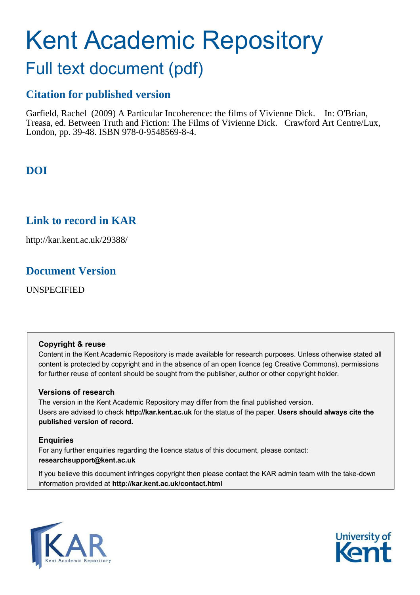# Kent Academic Repository

## Full text document (pdf)

## **Citation for published version**

Garfield, Rachel (2009) A Particular Incoherence: the films of Vivienne Dick. In: O'Brian, Treasa, ed. Between Truth and Fiction: The Films of Vivienne Dick. Crawford Art Centre/Lux, London, pp. 39-48. ISBN 978-0-9548569-8-4.

**DOI**

## **Link to record in KAR**

http://kar.kent.ac.uk/29388/

## **Document Version**

UNSPECIFIED

### **Copyright & reuse**

Content in the Kent Academic Repository is made available for research purposes. Unless otherwise stated all content is protected by copyright and in the absence of an open licence (eg Creative Commons), permissions for further reuse of content should be sought from the publisher, author or other copyright holder.

### **Versions of research**

The version in the Kent Academic Repository may differ from the final published version. Users are advised to check **http://kar.kent.ac.uk** for the status of the paper. **Users should always cite the published version of record.**

### **Enquiries**

For any further enquiries regarding the licence status of this document, please contact: **researchsupport@kent.ac.uk**

If you believe this document infringes copyright then please contact the KAR admin team with the take-down information provided at **http://kar.kent.ac.uk/contact.html**



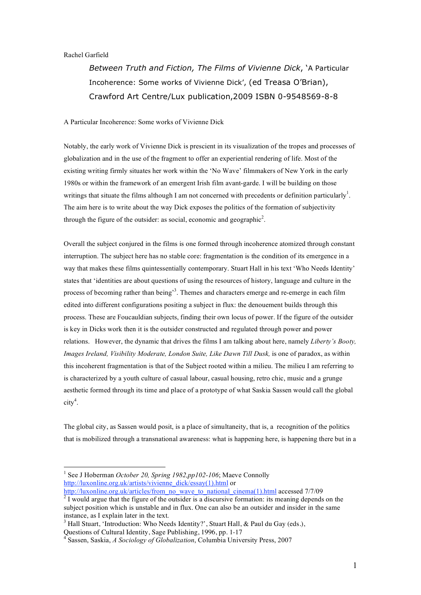#### Rachel Garfield

*Between Truth and Fiction, The Films of Vivienne Dick*, 'A Particular Incoherence: Some works of Vivienne Dick', (ed Treasa O'Brian), Crawford Art Centre/Lux publication,2009 ISBN 0-9548569-8-8

A Particular Incoherence: Some works of Vivienne Dick

Notably, the early work of Vivienne Dick is prescient in its visualization of the tropes and processes of globalization and in the use of the fragment to offer an experiential rendering of life. Most of the existing writing firmly situates her work within the 'No Wave' filmmakers of New York in the early 1980s or within the framework of an emergent Irish film avant-garde. I will be building on those writings that situate the films although I am not concerned with precedents or definition particularly<sup>1</sup>. The aim here is to write about the way Dick exposes the politics of the formation of subjectivity through the figure of the outsider: as social, economic and geographic<sup>2</sup>.

Overall the subject conjured in the films is one formed through incoherence atomized through constant interruption. The subject here has no stable core: fragmentation is the condition of its emergence in a way that makes these films quintessentially contemporary. Stuart Hall in his text 'Who Needs Identity' states that 'identities are about questions of using the resources of history, language and culture in the process of becoming rather than being<sup>33</sup>. Themes and characters emerge and re-emerge in each film edited into different configurations positing a subject in flux: the denouement builds through this process. These are Foucauldian subjects, finding their own locus of power. If the figure of the outsider is key in Dicks work then it is the outsider constructed and regulated through power and power relations. However, the dynamic that drives the films I am talking about here, namely *Liberty's Booty, Images Ireland, Visibility Moderate, London Suite, Like Dawn Till Dusk,* is one of paradox, as within this incoherent fragmentation is that of the Subject rooted within a milieu. The milieu I am referring to is characterized by a youth culture of casual labour, casual housing, retro chic, music and a grunge aesthetic formed through its time and place of a prototype of what Saskia Sassen would call the global  $\text{city}^4$ .

The global city, as Sassen would posit, is a place of simultaneity, that is, a recognition of the politics that is mobilized through a transnational awareness: what is happening here, is happening there but in a

<sup>&</sup>lt;sup>1</sup> See J Hoberman *October 20, Spring 1982,pp102-106*; Maeve Connolly http://luxonline.org.uk/artists/vivienne\_dick/essay(1).html or http://luxonline.org.uk/articles/from\_no\_wave\_to\_national\_cinema(1).html accessed 7/7/09

 $2<sup>2</sup>$  I would argue that the figure of the outsider is a discursive formation: its meaning depends on the subject position which is unstable and in flux. One can also be an outsider and insider in the same instance, as I explain later in the text.

 $3$  Hall Stuart, 'Introduction: Who Needs Identity?', Stuart Hall, & Paul du Gay (eds.),

Questions of Cultural Identity, Sage Publishing, 1996, pp. 1-17

<sup>4</sup> Sassen, Saskia, *A Sociology of Globalization*, Columbia University Press, 2007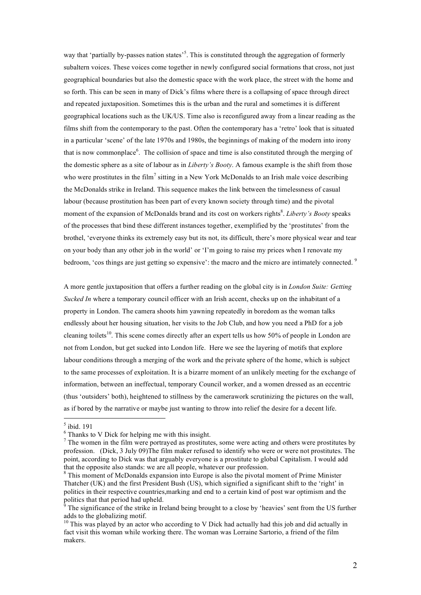way that 'partially by-passes nation states<sup>55</sup>. This is constituted through the aggregation of formerly subaltern voices. These voices come together in newly configured social formations that cross, not just geographical boundaries but also the domestic space with the work place, the street with the home and so forth. This can be seen in many of Dick's films where there is a collapsing of space through direct and repeated juxtaposition. Sometimes this is the urban and the rural and sometimes it is different geographical locations such as the UK/US. Time also is reconfigured away from a linear reading as the films shift from the contemporary to the past. Often the contemporary has a 'retro' look that is situated in a particular 'scene' of the late 1970s and 1980s, the beginnings of making of the modern into irony that is now commonplace<sup>6</sup>. The collision of space and time is also constituted through the merging of the domestic sphere as a site of labour as in *Liberty's Booty*. A famous example is the shift from those who were prostitutes in the film<sup>7</sup> sitting in a New York McDonalds to an Irish male voice describing the McDonalds strike in Ireland. This sequence makes the link between the timelessness of casual labour (because prostitution has been part of every known society through time) and the pivotal moment of the expansion of McDonalds brand and its cost on workers rights<sup>8</sup>. Liberty's Booty speaks of the processes that bind these different instances together, exemplified by the 'prostitutes' from the brothel, 'everyone thinks its extremely easy but its not, its difficult, there's more physical wear and tear on your body than any other job in the world' or 'I'm going to raise my prices when I renovate my bedroom, 'cos things are just getting so expensive': the macro and the micro are intimately connected.<sup>9</sup>

A more gentle juxtaposition that offers a further reading on the global city is in *London Suite: Getting Sucked In* where a temporary council officer with an Irish accent, checks up on the inhabitant of a property in London. The camera shoots him yawning repeatedly in boredom as the woman talks endlessly about her housing situation, her visits to the Job Club, and how you need a PhD for a job cleaning toilets<sup>10</sup>. This scene comes directly after an expert tells us how 50% of people in London are not from London, but get sucked into London life. Here we see the layering of motifs that explore labour conditions through a merging of the work and the private sphere of the home, which is subject to the same processes of exploitation. It is a bizarre moment of an unlikely meeting for the exchange of information, between an ineffectual, temporary Council worker, and a women dressed as an eccentric (thus 'outsiders' both), heightened to stillness by the camerawork scrutinizing the pictures on the wall, as if bored by the narrative or maybe just wanting to throw into relief the desire for a decent life.

<sup>5</sup> ibid. 191

<sup>&</sup>lt;sup>6</sup> Thanks to V Dick for helping me with this insight.

 $<sup>7</sup>$  The women in the film were portrayed as prostitutes, some were acting and others were prostitutes by</sup> profession. (Dick, 3 July 09)The film maker refused to identify who were or were not prostitutes. The point, according to Dick was that arguably everyone is a prostitute to global Capitalism. I would add that the opposite also stands: we are all people, whatever our profession.

<sup>&</sup>lt;sup>8</sup> This moment of McDonalds expansion into Europe is also the pivotal moment of Prime Minister Thatcher (UK) and the first President Bush (US), which signified a significant shift to the 'right' in politics in their respective countries,marking and end to a certain kind of post war optimism and the politics that that period had upheld.<br><sup>9</sup> The significance of the strike in Ir

The significance of the strike in Ireland being brought to a close by 'heavies' sent from the US further adds to the globalizing motif.

 $10$  This was played by an actor who according to V Dick had actually had this job and did actually in fact visit this woman while working there. The woman was Lorraine Sartorio, a friend of the film makers.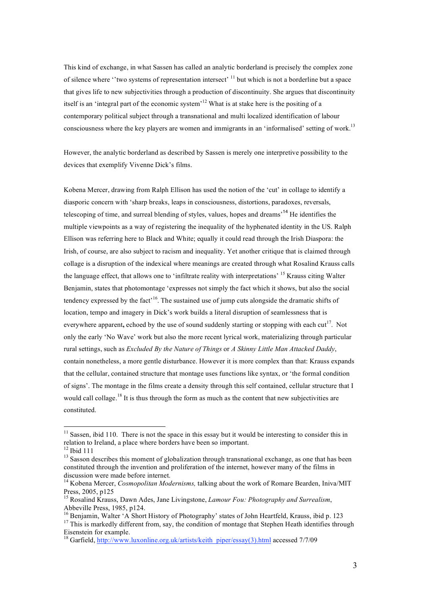This kind of exchange, in what Sassen has called an analytic borderland is precisely the complex zone of silence where ''two systems of representation intersect' <sup>11</sup> but which is not a borderline but a space that gives life to new subjectivities through a production of discontinuity. She argues that discontinuity itself is an 'integral part of the economic system'<sup>12</sup> What is at stake here is the positing of a contemporary political subject through a transnational and multi localized identification of labour consciousness where the key players are women and immigrants in an 'informalised' setting of work.<sup>13</sup>

However, the analytic borderland as described by Sassen is merely one interpretive possibility to the devices that exemplify Vivenne Dick's films.

Kobena Mercer, drawing from Ralph Ellison has used the notion of the 'cut' in collage to identify a diasporic concern with 'sharp breaks, leaps in consciousness, distortions, paradoxes, reversals, telescoping of time, and surreal blending of styles, values, hopes and dreams'<sup>14</sup> He identifies the multiple viewpoints as a way of registering the inequality of the hyphenated identity in the US. Ralph Ellison was referring here to Black and White; equally it could read through the Irish Diaspora: the Irish, of course, are also subject to racism and inequality. Yet another critique that is claimed through collage is a disruption of the indexical where meanings are created through what Rosalind Krauss calls the language effect, that allows one to 'infiltrate reality with interpretations' <sup>15</sup> Krauss citing Walter Benjamin, states that photomontage 'expresses not simply the fact which it shows, but also the social tendency expressed by the fact'<sup>16</sup>. The sustained use of jump cuts alongside the dramatic shifts of location, tempo and imagery in Dick's work builds a literal disruption of seamlessness that is everywhere apparent, echoed by the use of sound suddenly starting or stopping with each cut<sup>17</sup>. Not only the early 'No Wave' work but also the more recent lyrical work, materializing through particular rural settings, such as *Excluded By the Nature of Things* or *A Skinny Little Man Attacked Daddy*, contain nonetheless, a more gentle disturbance. However it is more complex than that: Krauss expands that the cellular, contained structure that montage uses functions like syntax, or 'the formal condition of signs'. The montage in the films create a density through this self contained, cellular structure that I would call collage.<sup>18</sup> It is thus through the form as much as the content that new subjectivities are constituted.

 $11$  Sassen, ibid 110. There is not the space in this essay but it would be interesting to consider this in relation to Ireland, a place where borders have been so important.

 $12$  Ibid 111

<sup>&</sup>lt;sup>13</sup> Sasson describes this moment of globalization through transnational exchange, as one that has been constituted through the invention and proliferation of the internet, however many of the films in discussion were made before internet.

<sup>&</sup>lt;sup>14</sup> Kobena Mercer, *Cosmopolitan Modernisms*, talking about the work of Romare Bearden, Iniva/MIT Press, 2005, p125

<sup>15</sup> Rosalind Krauss, Dawn Ades, Jane Livingstone, *Lamour Fou: Photography and Surrealism*, Abbeville Press, 1985, p124.

<sup>&</sup>lt;sup>16</sup> Benjamin, Walter 'A Short History of Photography' states of John Heartfeld, Krauss, ibid p. 123

<sup>&</sup>lt;sup>17</sup> This is markedly different from, say, the condition of montage that Stephen Heath identifies through Eisenstein for example.

<sup>&</sup>lt;sup>18</sup> Garfield, http://www.luxonline.org.uk/artists/keith\_piper/essay(3).html accessed 7/7/09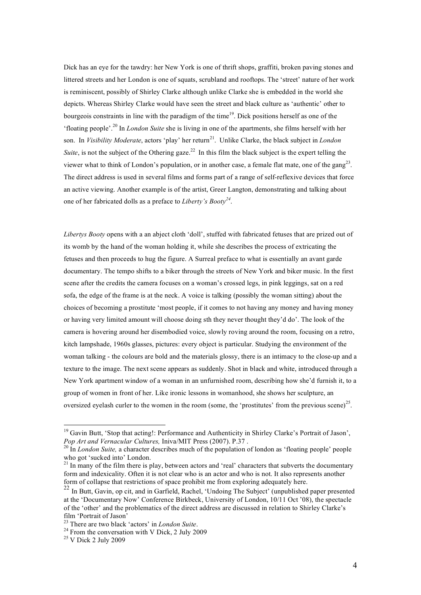Dick has an eye for the tawdry: her New York is one of thrift shops, graffiti, broken paving stones and littered streets and her London is one of squats, scrubland and rooftops. The 'street' nature of her work is reminiscent, possibly of Shirley Clarke although unlike Clarke she is embedded in the world she depicts. Whereas Shirley Clarke would have seen the street and black culture as 'authentic' other to bourgeois constraints in line with the paradigm of the time<sup>19</sup>. Dick positions herself as one of the 'floating people'.<sup>20</sup> In *London Suite* she is living in one of the apartments, she films herself with her son. In *Visibility Moderate*, actors 'play' her return<sup>21</sup>. Unlike Clarke, the black subject in *London Suite*, is not the subject of the Othering gaze.<sup>22</sup> In this film the black subject is the expert telling the viewer what to think of London's population, or in another case, a female flat mate, one of the gang<sup>23</sup>. The direct address is used in several films and forms part of a range of self-reflexive devices that force an active viewing. Another example is of the artist, Greer Langton, demonstrating and talking about one of her fabricated dolls as a preface to *Liberty's Booty<sup>24</sup>* .

*Libertys Booty* opens with a an abject cloth 'doll', stuffed with fabricated fetuses that are prized out of its womb by the hand of the woman holding it, while she describes the process of extricating the fetuses and then proceeds to hug the figure. A Surreal preface to what is essentially an avant garde documentary. The tempo shifts to a biker through the streets of New York and biker music. In the first scene after the credits the camera focuses on a woman's crossed legs, in pink leggings, sat on a red sofa, the edge of the frame is at the neck. A voice is talking (possibly the woman sitting) about the choices of becoming a prostitute 'most people, if it comes to not having any money and having money or having very limited amount will choose doing sth they never thought they'd do'. The look of the camera is hovering around her disembodied voice, slowly roving around the room, focusing on a retro, kitch lampshade, 1960s glasses, pictures: every object is particular. Studying the environment of the woman talking - the colours are bold and the materials glossy, there is an intimacy to the close-up and a texture to the image. The next scene appears as suddenly. Shot in black and white, introduced through a New York apartment window of a woman in an unfurnished room, describing how she'd furnish it, to a group of women in front of her. Like ironic lessons in womanhood, she shows her sculpture, an oversized eyelash curler to the women in the room (some, the 'prostitutes' from the previous scene)<sup>25</sup>.

<sup>&</sup>lt;sup>19</sup> Gavin Butt, 'Stop that acting!: Performance and Authenticity in Shirley Clarke's Portrait of Jason', *Pop Art and Vernacular Cultures,* Iniva/MIT Press (2007). P.37 .

<sup>&</sup>lt;sup>20</sup> In *London Suite*, a character describes much of the population of london as 'floating people' people who got 'sucked into' London.

 $21$  In many of the film there is play, between actors and 'real' characters that subverts the documentary form and indexicality. Often it is not clear who is an actor and who is not. It also represents another form of collapse that restrictions of space prohibit me from exploring adequately here.

<sup>22</sup> In Butt, Gavin, op cit, and in Garfield, Rachel, 'Undoing The Subject' (unpublished paper presented at the 'Documentary Now' Conference Birkbeck, University of London, 10/11 Oct '08), the spectacle of the 'other' and the problematics of the direct address are discussed in relation to Shirley Clarke's film 'Portrait of Jason'

<sup>23</sup> There are two black 'actors' in *London Suite*.

 $24$  From the conversation with V Dick, 2 July 2009

<sup>25</sup> V Dick 2 July 2009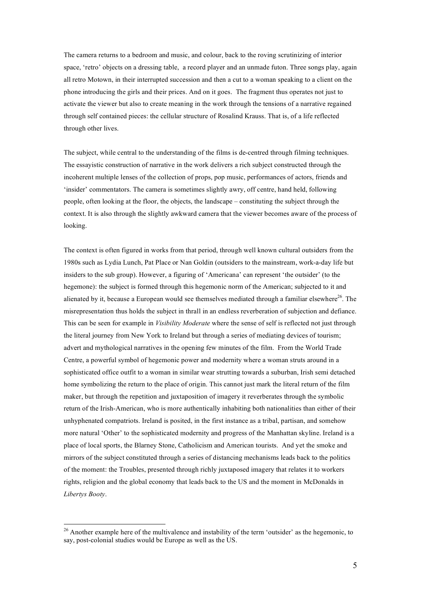The camera returns to a bedroom and music, and colour, back to the roving scrutinizing of interior space, 'retro' objects on a dressing table, a record player and an unmade futon. Three songs play, again all retro Motown, in their interrupted succession and then a cut to a woman speaking to a client on the phone introducing the girls and their prices. And on it goes. The fragment thus operates not just to activate the viewer but also to create meaning in the work through the tensions of a narrative regained through self contained pieces: the cellular structure of Rosalind Krauss. That is, of a life reflected through other lives.

The subject, while central to the understanding of the films is de-centred through filming techniques. The essayistic construction of narrative in the work delivers a rich subject constructed through the incoherent multiple lenses of the collection of props, pop music, performances of actors, friends and 'insider' commentators. The camera is sometimes slightly awry, off centre, hand held, following people, often looking at the floor, the objects, the landscape – constituting the subject through the context. It is also through the slightly awkward camera that the viewer becomes aware of the process of looking.

The context is often figured in works from that period, through well known cultural outsiders from the 1980s such as Lydia Lunch, Pat Place or Nan Goldin (outsiders to the mainstream, work-a-day life but insiders to the sub group). However, a figuring of 'Americana' can represent 'the outsider' (to the hegemone): the subject is formed through this hegemonic norm of the American; subjected to it and alienated by it, because a European would see themselves mediated through a familiar elsewhere<sup>26</sup>. The misrepresentation thus holds the subject in thrall in an endless reverberation of subjection and defiance. This can be seen for example in *Visibility Moderate* where the sense of self is reflected not just through the literal journey from New York to Ireland but through a series of mediating devices of tourism; advert and mythological narratives in the opening few minutes of the film. From the World Trade Centre, a powerful symbol of hegemonic power and modernity where a woman struts around in a sophisticated office outfit to a woman in similar wear strutting towards a suburban, Irish semi detached home symbolizing the return to the place of origin. This cannot just mark the literal return of the film maker, but through the repetition and juxtaposition of imagery it reverberates through the symbolic return of the Irish-American, who is more authentically inhabiting both nationalities than either of their unhyphenated compatriots. Ireland is posited, in the first instance as a tribal, partisan, and somehow more natural 'Other' to the sophisticated modernity and progress of the Manhattan skyline. Ireland is a place of local sports, the Blarney Stone, Catholicism and American tourists. And yet the smoke and mirrors of the subject constituted through a series of distancing mechanisms leads back to the politics of the moment: the Troubles, presented through richly juxtaposed imagery that relates it to workers rights, religion and the global economy that leads back to the US and the moment in McDonalds in *Libertys Booty*.

 $26$  Another example here of the multivalence and instability of the term 'outsider' as the hegemonic, to say, post-colonial studies would be Europe as well as the US.